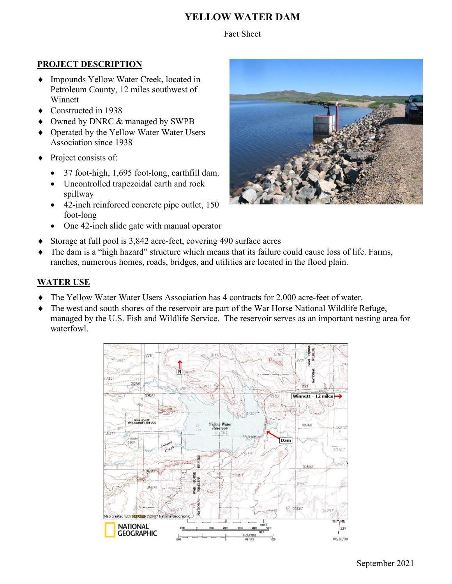# **YELLOW WATER DAM**

#### Fact Sheet

#### **PROJECT DESCRIPTION**

- ♦ Impounds Yellow Water Creek, located in Petroleum County, 12 miles southwest of Winnett
- ♦ Constructed in 1938
- Owned by DNRC & managed by SWPB
- ♦ Operated by the Yellow Water Water Users Association since 1938
- ♦ Project consists of:
	- 37 foot-high, 1,695 foot-long, earthfill dam.
	- Uncontrolled trapezoidal earth and rock spillway
	- 42-inch reinforced concrete pipe outlet, 150 foot-long
	- One 42-inch slide gate with manual operator



♦ The dam is a "high hazard" structure which means that its failure could cause loss of life. Farms, ranches, numerous homes, roads, bridges, and utilities are located in the flood plain.

## **WATER USE**

- The Yellow Water Water Users Association has 4 contracts for 2,000 acre-feet of water.
- ♦ The west and south shores of the reservoir are part of the War Horse National Wildlife Refuge, managed by the U.S. Fish and Wildlife Service. The reservoir serves as an important nesting area for waterfowl.